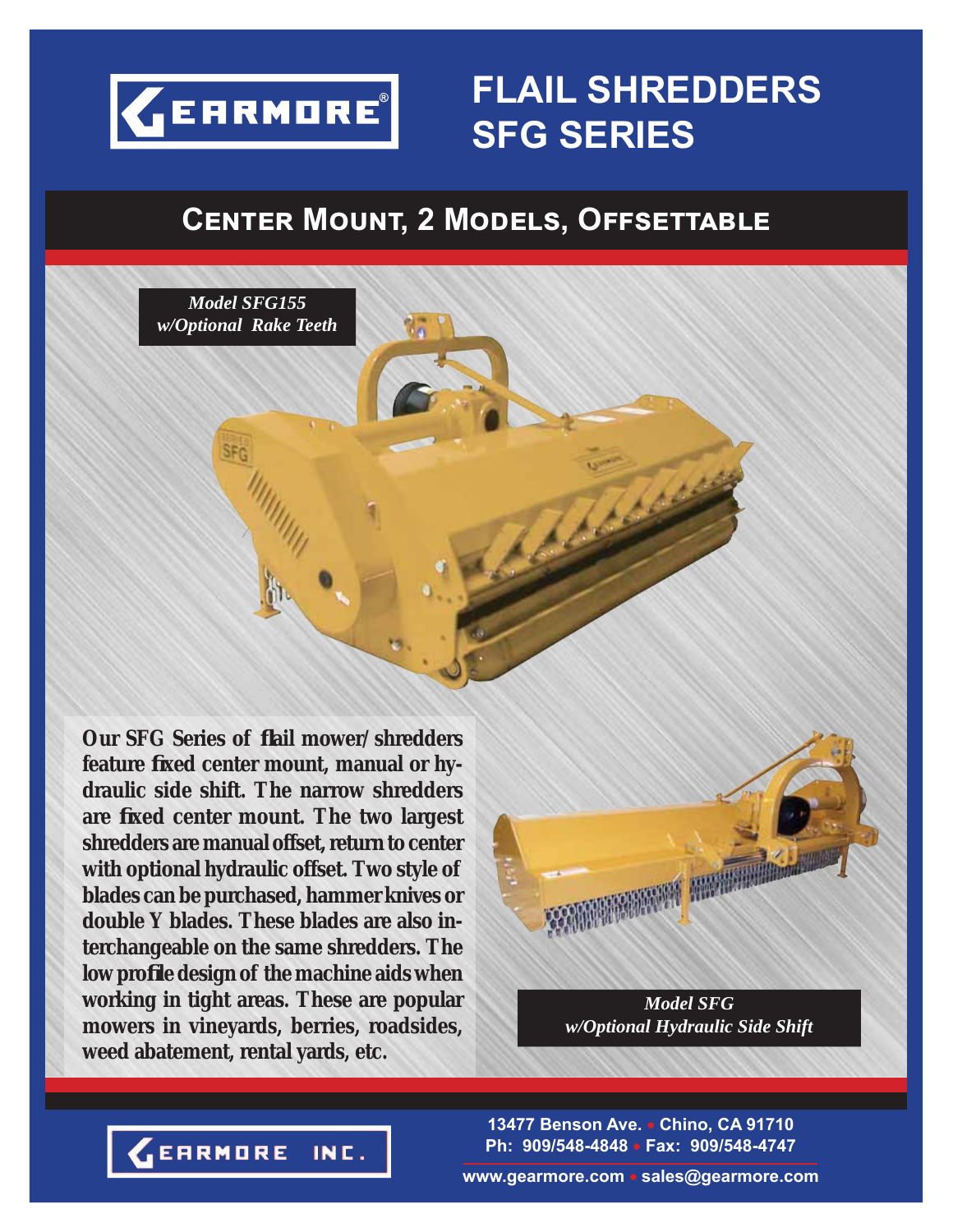

# **FLAIL SHREDDERS SFG SERIES**

## $C$ **ENTER MOUNT, 2 MODELS, OFFSETTABLE**



**Our SFG Series of fl ail mower/shredders feature fi xed center mount, manual or hydraulic side shift. The narrow shredders are fi xed center mount. The two largest shredders are manual offset, return to center with optional hydraulic offset. Two style of blades can be purchased, hammer knives or double Y blades. These blades are also interchangeable on the same shredders. The low profi le design of the machine aids when working in tight areas. These are popular mowers in vineyards, berries, roadsides, weed abatement, rental yards, etc.**



*Model SFG w/Optional Hydraulic Side Shift*

**13477 Benson Ave. Chino, CA 91710 Ph: 909/548-4848 Fax: 909/548-4747**

**www.gearmore.com sales@gearmore.com**